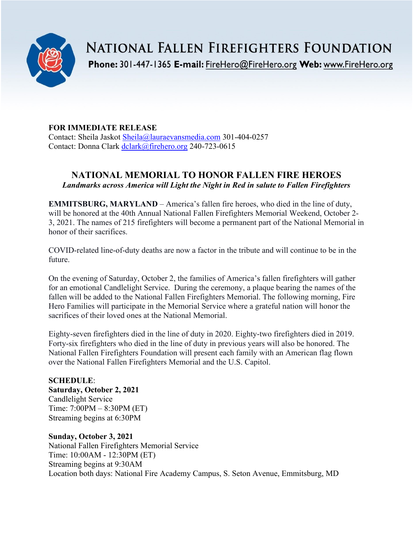

**NATIONAL FALLEN FIREFIGHTERS FOUNDATION** 

Phone: 301-447-1365 E-mail: FireHero@FireHero.org Web: www.FireHero.org

# **FOR IMMEDIATE RELEASE**

Contact: Sheila Jaskot [Sheila@lauraevansmedia.com](mailto:Sheila@lauraevansmedia.com) 301-404-0257 Contact: Donna Clark [dclark@firehero.org](mailto:dclark@firehero.org) 240-723-0615

# **NATIONAL MEMORIAL TO HONOR FALLEN FIRE HEROES** *Landmarks across America will Light the Night in Red in salute to Fallen Firefighters*

**EMMITSBURG, MARYLAND** – America's fallen fire heroes, who died in the line of duty, will be honored at the 40th Annual National Fallen Firefighters Memorial Weekend, October 2- 3, 2021. The names of 215 firefighters will become a permanent part of the National Memorial in honor of their sacrifices.

COVID-related line-of-duty deaths are now a factor in the tribute and will continue to be in the future.

On the evening of Saturday, October 2, the families of America's fallen firefighters will gather for an emotional Candlelight Service. During the ceremony, a plaque bearing the names of the fallen will be added to the National Fallen Firefighters Memorial. The following morning, Fire Hero Families will participate in the Memorial Service where a grateful nation will honor the sacrifices of their loved ones at the National Memorial.

Eighty-seven firefighters died in the line of duty in 2020. Eighty-two firefighters died in 2019. Forty-six firefighters who died in the line of duty in previous years will also be honored. The National Fallen Firefighters Foundation will present each family with an American flag flown over the National Fallen Firefighters Memorial and the U.S. Capitol.

**SCHEDULE**: **Saturday, October 2, 2021** Candlelight Service Time: 7:00PM – 8:30PM (ET) Streaming begins at 6:30PM

**Sunday, October 3, 2021** National Fallen Firefighters Memorial Service Time: 10:00AM - 12:30PM (ET) Streaming begins at 9:30AM Location both days: National Fire Academy Campus, S. Seton Avenue, Emmitsburg, MD